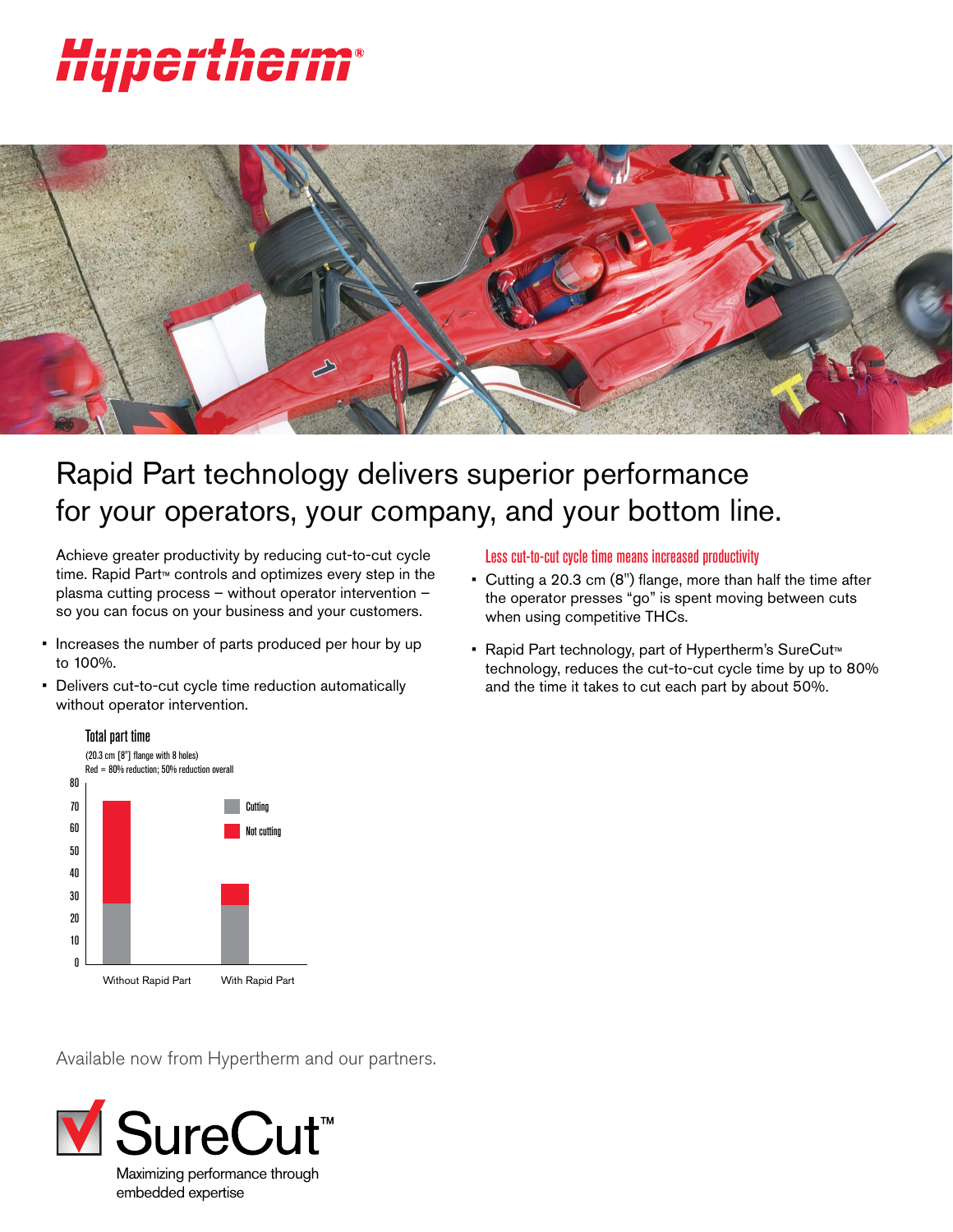# *iherm* UGI



# Rapid Part technology delivers superior performance for your operators, your company, and your bottom line.

Achieve greater productivity by reducing cut-to-cut cycle time. Rapid Part™ controls and optimizes every step in the plasma cutting process – without operator intervention – so you can focus on your business and your customers.

- Increases the number of parts produced per hour by up to 100%.
- Delivers cut-to-cut cycle time reduction automatically without operator intervention.



#### Less cut-to-cut cycle time means increased productivity

- Cutting a 20.3 cm (8") flange, more than half the time after the operator presses "go" is spent moving between cuts when using competitive THCs.
- Rapid Part technology, part of Hypertherm's SureCut™ technology, reduces the cut-to-cut cycle time by up to 80% and the time it takes to cut each part by about 50%.

Available now from Hypertherm and our partners.